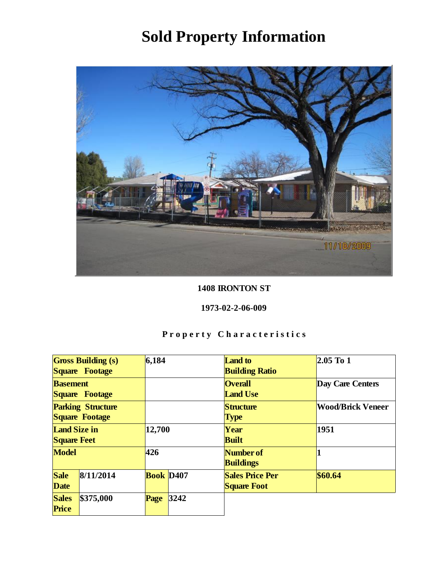

### 1408 IRONTON ST

#### 1973-02-2-06-009

| <b>Gross Building (s)</b><br>Square Footage |           | 6,184                 |      | <b>Land</b> to<br><b>Building Ratio</b>      | 2.05 To 1                |
|---------------------------------------------|-----------|-----------------------|------|----------------------------------------------|--------------------------|
| <b>Basement</b><br>Square Footage           |           |                       |      | <b>Overall</b><br><b>Land Use</b>            | Day Care Centers         |
| <b>Parking Structure</b><br>Square Footage  |           |                       |      | Structure<br>Type                            | <b>Wood/Brick Veneer</b> |
| Land Size in<br><b>Square Feet</b>          |           | 12,700                |      | Year<br><b>Built</b>                         | 1951                     |
| Model                                       |           | 426                   |      | Number of<br><b>Buildings</b>                |                          |
| Sale<br>Date                                | 8/11/2014 | Book D <sub>407</sub> |      | <b>Sales Price Per</b><br><b>Square Foot</b> | \$60.64                  |
| <b>Sales</b><br>Price                       | \$375,000 | Page                  | 3242 |                                              |                          |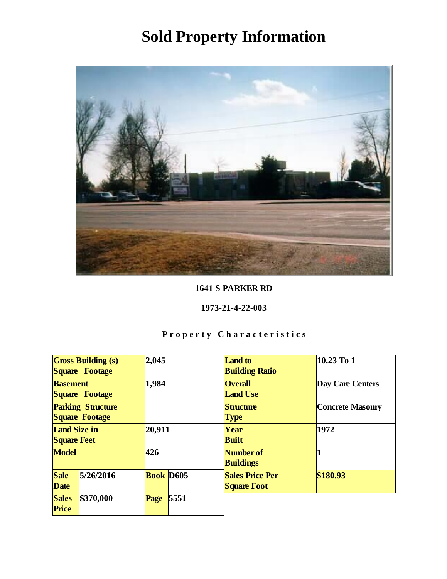

1641 S PARKER RD

1973-21-4-22-003

| <b>Gross Building (s)</b><br>Square Footage |           | 2,045            |      | <b>Land</b> to<br><b>Building Ratio</b>      | 10.23 To 1              |
|---------------------------------------------|-----------|------------------|------|----------------------------------------------|-------------------------|
| <b>Basement</b><br>Square Footage           |           | 1,984            |      | <b>Overall</b><br><b>Land Use</b>            | Day Care Centers        |
| <b>Parking Structure</b><br>Square Footage  |           |                  |      | Structure<br>Type                            | <b>Concrete Masonry</b> |
| Land Size in<br><b>Square Feet</b>          |           | 20,911           |      | Year<br><b>Built</b>                         | 1972                    |
| Model                                       |           | 426              |      | Number of<br><b>Buildings</b>                |                         |
| Sale<br>Date                                | 5/26/2016 | <b>Book</b> D605 |      | <b>Sales Price Per</b><br><b>Square Foot</b> | \$180.93                |
| <b>Sales</b><br>Price                       | \$370,000 | Page             | 5551 |                                              |                         |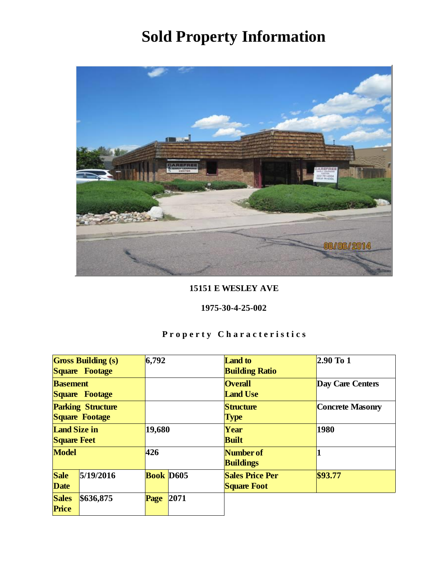

15151 E WESLEY AVE

1975-30-4-25-002

| Gross Building (s)<br>Square Footage       |           | 6,792            |      | <b>Land</b> to<br><b>Building Ratio</b>      | $2.90$ To 1             |
|--------------------------------------------|-----------|------------------|------|----------------------------------------------|-------------------------|
| <b>Basement</b><br>Square Footage          |           |                  |      | <b>Overall</b><br><b>Land Use</b>            | Day Care Centers        |
| <b>Parking Structure</b><br>Square Footage |           |                  |      | Structure<br>Type                            | <b>Concrete Masonry</b> |
| Land Size in<br><b>Square Feet</b>         |           | 19,680           |      | Year<br><b>Built</b>                         | 1980                    |
| Model                                      |           | 426              |      | Number of<br><b>Buildings</b>                |                         |
| Sale<br>Date                               | 5/19/2016 | <b>Book</b> D605 |      | <b>Sales Price Per</b><br><b>Square Foot</b> | \$93.77                 |
| <b>Sales</b><br>Price                      | \$636,875 | Page             | 2071 |                                              |                         |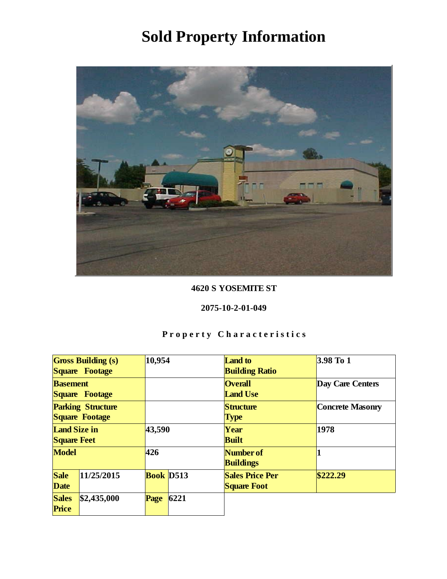

#### 4620 S YOSEMITE ST

#### 2075-10-2-01-049

| <b>Gross Building (s)</b><br>Square Footage |             | 10,954    |      | <b>Land</b> to<br><b>Building Ratio</b>      | $3.98$ To 1             |
|---------------------------------------------|-------------|-----------|------|----------------------------------------------|-------------------------|
| <b>Basement</b><br>Square Footage           |             |           |      | <b>Overall</b><br><b>Land Use</b>            | Day Care Centers        |
| <b>Parking Structure</b><br>Square Footage  |             |           |      | Structure<br><b>Type</b>                     | <b>Concrete Masonry</b> |
| Land Size in<br><b>Square Feet</b>          |             | 43,590    |      | Year<br><b>Built</b>                         | 1978                    |
| Model                                       |             | 426       |      | Number of<br><b>Buildings</b>                |                         |
| Sale<br>Date                                | 11/25/2015  | Book D513 |      | <b>Sales Price Per</b><br><b>Square Foot</b> | \$222.29                |
| <b>Sales</b><br>Price                       | \$2,435,000 | Page      | 6221 |                                              |                         |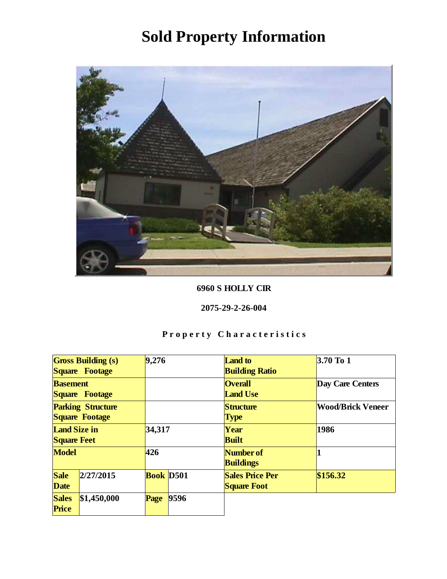

6960 S HOLLY CIR

2075-29-2-26-004

| <b>Gross Building (s)</b><br>Square Footage |             | 9,276            |      | <b>Land</b> to<br><b>Building Ratio</b>      | 3.70 To 1                |
|---------------------------------------------|-------------|------------------|------|----------------------------------------------|--------------------------|
| <b>Basement</b><br>Square Footage           |             |                  |      | <b>Overall</b><br><b>Land Use</b>            | Day Care Centers         |
| <b>Parking Structure</b><br>Square Footage  |             |                  |      | Structure<br>Type                            | <b>Wood/Brick Veneer</b> |
| Land Size in<br><b>Square Feet</b>          |             | 34,317           |      | Year<br><b>Built</b>                         | 1986                     |
| Model                                       |             | 426              |      | Number of<br><b>Buildings</b>                |                          |
| Sale<br>Date                                | 2/27/2015   | <b>Book</b> D501 |      | <b>Sales Price Per</b><br><b>Square Foot</b> | \$156.32                 |
| <b>Sales</b><br>Price                       | \$1,450,000 | Page             | 9596 |                                              |                          |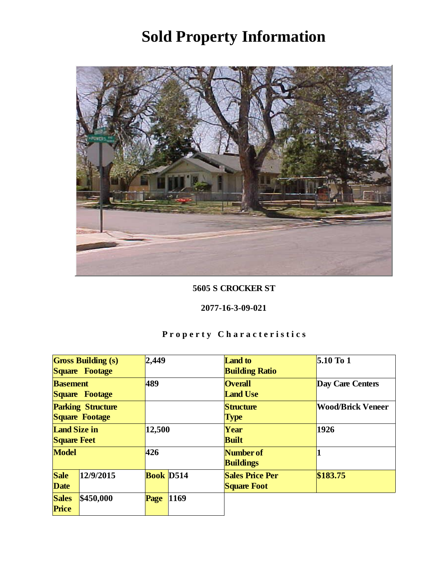

#### 5605 S CROCKER ST

#### 2077-16-3-09-021

| <b>Gross Building (s)</b><br>Square Footage |           | 2,449     |      | <b>Land</b> to<br><b>Building Ratio</b>      | $5.10$ To 1              |
|---------------------------------------------|-----------|-----------|------|----------------------------------------------|--------------------------|
| <b>Basement</b><br>Square Footage           |           | 489       |      | <b>Overall</b><br><b>Land Use</b>            | Day Care Centers         |
| <b>Parking Structure</b><br>Square Footage  |           |           |      | Structure<br>Type                            | <b>Wood/Brick Veneer</b> |
| Land Size in<br><b>Square Feet</b>          |           | 12,500    |      | Year<br><b>Built</b>                         | 1926                     |
| Model                                       |           | 426       |      | Number of<br><b>Buildings</b>                |                          |
| Sale<br>Date                                | 12/9/2015 | Book D514 |      | <b>Sales Price Per</b><br><b>Square Foot</b> | \$183.75                 |
| <b>Sales</b><br>Price                       | \$450,000 | Page      | 1169 |                                              |                          |